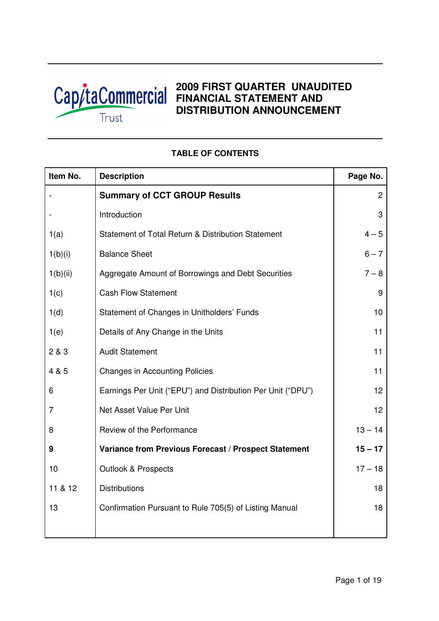

# **2009 FIRST QUARTER UNAUDITED**  Cap/taCommercial 2009 FIRST QUARTER UNAUD **DISTRIBUTION ANNOUNCEMENT**

# **Item No.** Description **Page No.** Page No. - **Summary of CCT GROUP Results** 2 - Introduction and a set of the set of the set of the set of the set of the set of the set of the set of the s 1(a) Statement of Total Return & Distribution Statement 4 – 5  $1(b)(i)$  Balance Sheet 6 – 7 1(b)(ii) Aggregate Amount of Borrowings and Debt Securities 7 – 8 1(c) Cash Flow Statement 9 1(d) Statement of Changes in Unitholders' Funds 10 1(e) Details of Any Change in the Units 11 and 11 and 11 and 11 and 11 and 11 and 11 and 11 and 11 and 11 and 11 2 & 3 Audit Statement 11 and 11 and 11 and 11 and 11 and 11 and 11 and 11 and 11 and 11 and 11 and 11 and 11 and 11 and 11 and 11 and 11 and 11 and 11 and 11 and 11 and 11 and 11 and 11 and 11 and 11 and 11 and 11 and 11 a 4 & 5 Changes in Accounting Policies 11 and 11 and 11 and 11 and 11 and 11 and 11 and 11 and 11 and 11 and 11 and 11 and 11 and 11 and 11 and 11 and 11 and 11 and 11 and 11 and 11 and 11 and 11 and 11 and 11 and 11 and 11 6 Earnings Per Unit ("EPU") and Distribution Per Unit ("DPU") 12 7 **Net Asset Value Per Unit 12** 12 8 Review of the Performance 13 – 13 – 14 **9 Variance from Previous Forecast / Prospect Statement 15 – 17** 10 | Outlook & Prospects | 17 – 18 11 & 12 Distributions 18 13 **Confirmation Pursuant to Rule 705(5) of Listing Manual** 18

## **TABLE OF CONTENTS**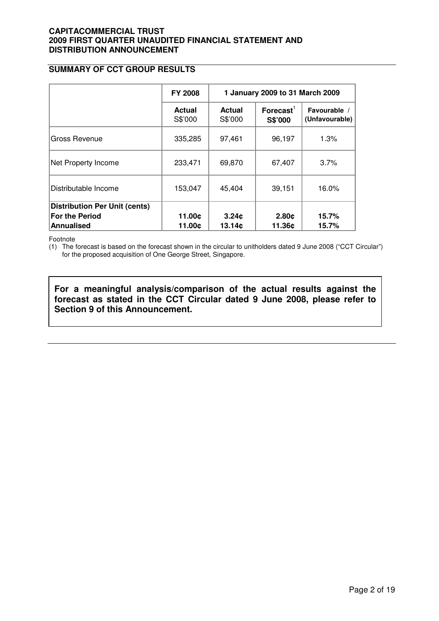## **SUMMARY OF CCT GROUP RESULTS**

|                                                                             | <b>FY 2008</b>           | 1 January 2009 to 31 March 2009 |                                  |                                |  |
|-----------------------------------------------------------------------------|--------------------------|---------------------------------|----------------------------------|--------------------------------|--|
|                                                                             | <b>Actual</b><br>S\$'000 | <b>Actual</b><br>S\$'000        | $\mathsf{Forecast}^1$<br>S\$'000 | Favourable /<br>(Unfavourable) |  |
| Gross Revenue                                                               | 335,285                  | 97,461                          | 96,197                           | 1.3%                           |  |
| Net Property Income                                                         | 233,471                  | 69,870                          | 67,407                           | 3.7%                           |  |
| Distributable Income                                                        | 153,047                  | 45,404                          | 39,151                           | 16.0%                          |  |
| <b>Distribution Per Unit (cents)</b><br><b>For the Period</b><br>Annualised | 11.00¢<br>11.00¢         | 3.24c<br>13.14c                 | 2.80c<br>11.36c                  | 15.7%<br>15.7%                 |  |

Footnote

(1) The forecast is based on the forecast shown in the circular to unitholders dated 9 June 2008 ("CCT Circular") for the proposed acquisition of One George Street, Singapore.

**For a meaningful analysis/comparison of the actual results against the forecast as stated in the CCT Circular dated 9 June 2008, please refer to Section 9 of this Announcement.**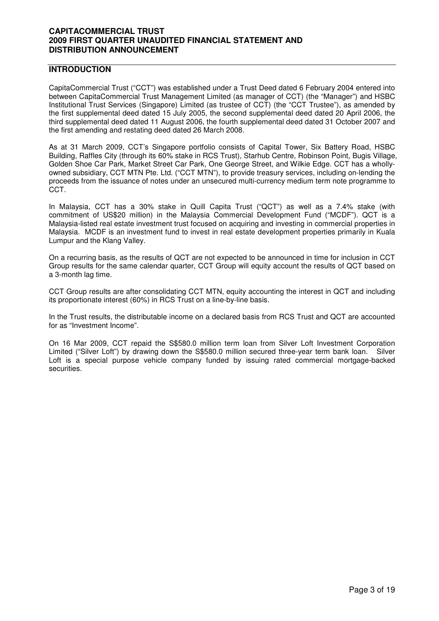## **INTRODUCTION**

CapitaCommercial Trust ("CCT") was established under a Trust Deed dated 6 February 2004 entered into between CapitaCommercial Trust Management Limited (as manager of CCT) (the "Manager") and HSBC Institutional Trust Services (Singapore) Limited (as trustee of CCT) (the "CCT Trustee"), as amended by the first supplemental deed dated 15 July 2005, the second supplemental deed dated 20 April 2006, the third supplemental deed dated 11 August 2006, the fourth supplemental deed dated 31 October 2007 and the first amending and restating deed dated 26 March 2008.

As at 31 March 2009, CCT's Singapore portfolio consists of Capital Tower, Six Battery Road, HSBC Building, Raffles City (through its 60% stake in RCS Trust), Starhub Centre, Robinson Point, Bugis Village, Golden Shoe Car Park, Market Street Car Park, One George Street, and Wilkie Edge. CCT has a whollyowned subsidiary, CCT MTN Pte. Ltd. ("CCT MTN"), to provide treasury services, including on-lending the proceeds from the issuance of notes under an unsecured multi-currency medium term note programme to CCT.

In Malaysia, CCT has a 30% stake in Quill Capita Trust ("QCT") as well as a 7.4% stake (with commitment of US\$20 million) in the Malaysia Commercial Development Fund ("MCDF"). QCT is a Malaysia-listed real estate investment trust focused on acquiring and investing in commercial properties in Malaysia. MCDF is an investment fund to invest in real estate development properties primarily in Kuala Lumpur and the Klang Valley.

On a recurring basis, as the results of QCT are not expected to be announced in time for inclusion in CCT Group results for the same calendar quarter, CCT Group will equity account the results of QCT based on a 3-month lag time.

CCT Group results are after consolidating CCT MTN, equity accounting the interest in QCT and including its proportionate interest (60%) in RCS Trust on a line-by-line basis.

In the Trust results, the distributable income on a declared basis from RCS Trust and QCT are accounted for as "Investment Income".

On 16 Mar 2009, CCT repaid the S\$580.0 million term loan from Silver Loft Investment Corporation Limited ("Silver Loft") by drawing down the S\$580.0 million secured three-year term bank loan. Silver Loft is a special purpose vehicle company funded by issuing rated commercial mortgage-backed securities.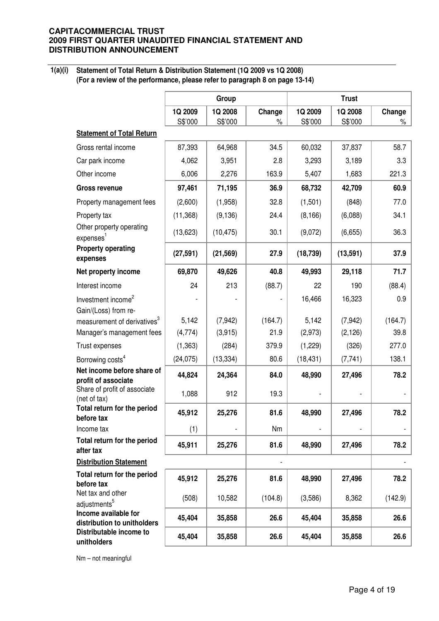**1(a)(i)** 

**Statement of Total Return & Distribution Statement (1Q 2009 vs 1Q 2008) (For a review of the performance, please refer to paragraph 8 on page 13-14)**

|                                                                     |                    | Group              |                |                    | <b>Trust</b>       |             |
|---------------------------------------------------------------------|--------------------|--------------------|----------------|--------------------|--------------------|-------------|
|                                                                     | 1Q 2009<br>S\$'000 | 1Q 2008<br>S\$'000 | Change<br>$\%$ | 1Q 2009<br>S\$'000 | 1Q 2008<br>S\$'000 | Change<br>% |
| <b>Statement of Total Return</b>                                    |                    |                    |                |                    |                    |             |
| Gross rental income                                                 | 87,393             | 64,968             | 34.5           | 60,032             | 37,837             | 58.7        |
| Car park income                                                     | 4,062              | 3,951              | 2.8            | 3,293              | 3,189              | 3.3         |
| Other income                                                        | 6,006              | 2,276              | 163.9          | 5,407              | 1,683              | 221.3       |
| <b>Gross revenue</b>                                                | 97,461             | 71,195             | 36.9           | 68,732             | 42,709             | 60.9        |
| Property management fees                                            | (2,600)            | (1,958)            | 32.8           | (1,501)            | (848)              | 77.0        |
| Property tax                                                        | (11, 368)          | (9, 136)           | 24.4           | (8, 166)           | (6,088)            | 34.1        |
| Other property operating<br>expenses <sup>1</sup>                   | (13, 623)          | (10, 475)          | 30.1           | (9,072)            | (6,655)            | 36.3        |
| <b>Property operating</b><br>expenses                               | (27, 591)          | (21, 569)          | 27.9           | (18, 739)          | (13, 591)          | 37.9        |
| Net property income                                                 | 69,870             | 49,626             | 40.8           | 49,993             | 29,118             | 71.7        |
| Interest income                                                     | 24                 | 213                | (88.7)         | 22                 | 190                | (88.4)      |
| Investment income <sup>2</sup><br>Gain/(Loss) from re-              |                    |                    |                | 16,466             | 16,323             | 0.9         |
| measurement of derivatives <sup>3</sup>                             | 5,142              | (7, 942)           | (164.7)        | 5,142              | (7, 942)           | (164.7)     |
| Manager's management fees                                           | (4, 774)           | (3,915)            | 21.9           | (2,973)            | (2, 126)           | 39.8        |
| Trust expenses                                                      | (1, 363)           | (284)              | 379.9          | (1,229)            | (326)              | 277.0       |
| Borrowing costs <sup>4</sup>                                        | (24, 075)          | (13, 334)          | 80.6           | (18, 431)          | (7, 741)           | 138.1       |
| Net income before share of                                          | 44,824             | 24,364             | 84.0           | 48,990             | 27,496             | 78.2        |
| profit of associate<br>Share of profit of associate<br>(net of tax) | 1,088              | 912                | 19.3           |                    |                    |             |
| Total return for the period<br>before tax                           | 45,912             | 25,276             | 81.6           | 48,990             | 27,496             | 78.2        |
| Income tax                                                          | (1)                |                    | Nm             |                    |                    |             |
| Total return for the period<br>after tax                            | 45,911             | 25,276             | 81.6           | 48,990             | 27,496             | 78.2        |
| <b>Distribution Statement</b>                                       |                    |                    |                |                    |                    |             |
| Total return for the period<br>before tax                           | 45,912             | 25,276             | 81.6           | 48,990             | 27,496             | 78.2        |
| Net tax and other<br>adjustments <sup>5</sup>                       | (508)              | 10,582             | (104.8)        | (3,586)            | 8,362              | (142.9)     |
| Income available for<br>distribution to unitholders                 | 45,404             | 35,858             | 26.6           | 45,404             | 35,858             | 26.6        |
| Distributable income to<br>unitholders                              | 45,404             | 35,858             | 26.6           | 45,404             | 35,858             | 26.6        |

Nm – not meaningful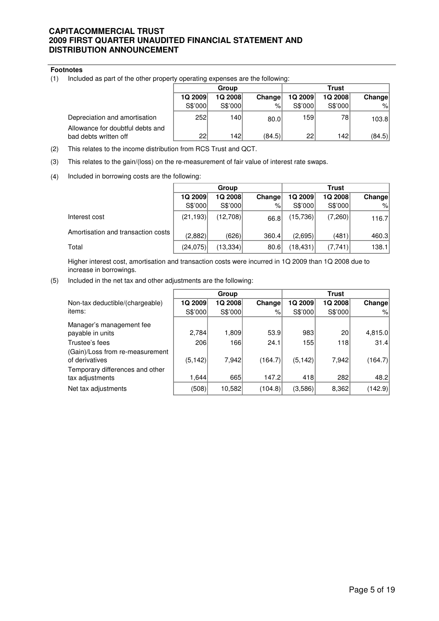#### **Footnotes**

(1) Included as part of the other property operating expenses are the following:

|                                                           | Group           |         |        | Trust   |         |        |
|-----------------------------------------------------------|-----------------|---------|--------|---------|---------|--------|
|                                                           | 1Q 2009         | 1Q 2008 | Change | 1Q 2009 | 1Q 2008 | Change |
|                                                           | S\$'000         | S\$'000 | %      | S\$'000 | S\$'000 | $\%$   |
| Depreciation and amortisation                             | 252             | 1401    | 80.0   | 159     | 78      | 103.8  |
| Allowance for doubtful debts and<br>bad debts written off | 22 <sup>1</sup> | 142     | (84.5) | 22      | 142     | (84.5) |

- (2) This relates to the income distribution from RCS Trust and QCT.
- (3) This relates to the gain/(loss) on the re-measurement of fair value of interest rate swaps.
- (4) Included in borrowing costs are the following:

|                                    | Group     |           |               | <b>Trust</b> |         |        |
|------------------------------------|-----------|-----------|---------------|--------------|---------|--------|
|                                    | 1Q 2009   | 1Q 2008   | <b>Change</b> | 1Q 2009      | 1Q 2008 | Change |
|                                    | S\$'000   | S\$'000   | %⊧            | S\$'000      | S\$'000 | $\%$   |
| Interest cost                      | (21, 193) | (12,708)  | 66.8          | (15,736)     | (7,260) | 116.7  |
| Amortisation and transaction costs | (2,882)   | (626)     | 360.4         | (2,695)      | (481)   | 460.3  |
| Total                              | (24, 075) | (13, 334) | 80.6          | (18,431)     | (7,741) | 138.1  |

Higher interest cost, amortisation and transaction costs were incurred in 1Q 2009 than 1Q 2008 due to increase in borrowings.

(5) Included in the net tax and other adjustments are the following:

|                                                   |          | Group   |         |          | <b>Trust</b>    |         |
|---------------------------------------------------|----------|---------|---------|----------|-----------------|---------|
| Non-tax deductible/(chargeable)                   | 1Q 2009  | 1Q 2008 | Change  | 1Q 2009  | 1Q 2008         | Change  |
| items:                                            | S\$'000  | S\$'000 | %       | S\$'000  | S\$'000         | $\%$    |
| Manager's management fee                          |          |         |         |          |                 |         |
| payable in units                                  | 2,784    | 1,809   | 53.9    | 983      | 20 <sup>1</sup> | 4,815.0 |
| Trustee's fees<br>(Gain)/Loss from re-measurement | 206      | 1661    | 24.1    | 155      | 118             | 31.4    |
| of derivatives<br>Temporary differences and other | (5, 142) | 7,942   | (164.7) | (5, 142) | 7,942           | (164.7) |
| tax adjustments                                   | 1,644    | 665     | 147.2   | 418      | 282             | 48.2    |
| Net tax adjustments                               | (508)    | 10,582  | (104.8) | (3,586)  | 8,362           | (142.9) |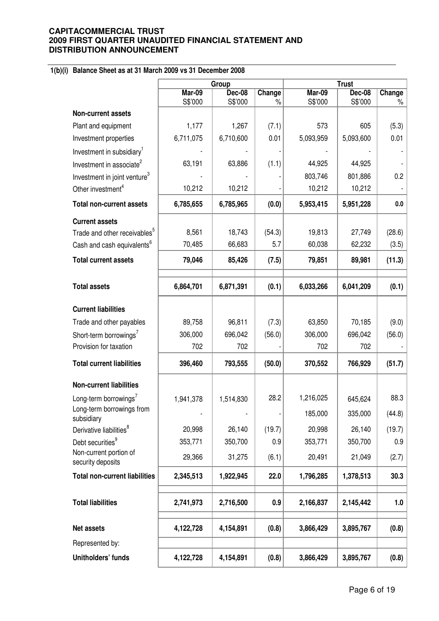# **1(b)(i) Balance Sheet as at 31 March 2009 vs 31 December 2008**

|                                             | Group             |                          |                | <b>Trust</b>      |                          |                |  |
|---------------------------------------------|-------------------|--------------------------|----------------|-------------------|--------------------------|----------------|--|
|                                             | Mar-09<br>S\$'000 | <b>Dec-08</b><br>S\$'000 | Change<br>$\%$ | Mar-09<br>S\$'000 | <b>Dec-08</b><br>S\$'000 | Change<br>$\%$ |  |
| Non-current assets                          |                   |                          |                |                   |                          |                |  |
| Plant and equipment                         | 1,177             | 1,267                    | (7.1)          | 573               | 605                      | (5.3)          |  |
| Investment properties                       | 6,711,075         | 6,710,600                | 0.01           | 5,093,959         | 5,093,600                | 0.01           |  |
| Investment in subsidiary <sup>1</sup>       |                   |                          |                |                   |                          |                |  |
| Investment in associate <sup>2</sup>        | 63,191            | 63,886                   | (1.1)          | 44,925            | 44,925                   |                |  |
| Investment in joint venture <sup>3</sup>    |                   |                          |                | 803,746           | 801,886                  | 0.2            |  |
| Other investment <sup>4</sup>               | 10,212            | 10,212                   |                | 10,212            | 10,212                   |                |  |
| <b>Total non-current assets</b>             | 6,785,655         | 6,785,965                | (0.0)          | 5,953,415         | 5,951,228                | 0.0            |  |
| <b>Current assets</b>                       |                   |                          |                |                   |                          |                |  |
| Trade and other receivables <sup>5</sup>    | 8,561             | 18,743                   | (54.3)         | 19,813            | 27,749                   | (28.6)         |  |
| Cash and cash equivalents <sup>6</sup>      | 70,485            | 66,683                   | 5.7            | 60,038            | 62,232                   | (3.5)          |  |
| <b>Total current assets</b>                 | 79,046            | 85,426                   | (7.5)          | 79,851            | 89,981                   | (11.3)         |  |
|                                             |                   |                          |                |                   |                          |                |  |
| <b>Total assets</b>                         | 6,864,701         | 6,871,391                | (0.1)          | 6,033,266         | 6,041,209                | (0.1)          |  |
| <b>Current liabilities</b>                  |                   |                          |                |                   |                          |                |  |
| Trade and other payables                    | 89,758            | 96,811                   | (7.3)          | 63,850            | 70,185                   | (9.0)          |  |
| Short-term borrowings <sup>7</sup>          | 306,000           | 696,042                  | (56.0)         | 306,000           | 696,042                  | (56.0)         |  |
| Provision for taxation                      | 702               | 702                      |                | 702               | 702                      |                |  |
| <b>Total current liabilities</b>            | 396,460           | 793,555                  | (50.0)         | 370,552           | 766,929                  | (51.7)         |  |
| <b>Non-current liabilities</b>              |                   |                          |                |                   |                          |                |  |
| Long-term borrowings <sup>7</sup>           | 1,941,378         | 1,514,830                | 28.2           | 1,216,025         | 645,624                  | 88.3           |  |
| Long-term borrowings from<br>subsidiary     |                   | $\overline{\phantom{a}}$ |                | 185,000           | 335,000                  | (44.8)         |  |
| Derivative liabilities <sup>8</sup>         | 20,998            | 26,140                   | (19.7)         | 20,998            | 26,140                   | (19.7)         |  |
| Debt securities <sup>9</sup>                | 353,771           | 350,700                  | 0.9            | 353,771           | 350,700                  | 0.9            |  |
| Non-current portion of<br>security deposits | 29,366            | 31,275                   | (6.1)          | 20,491            | 21,049                   | (2.7)          |  |
| <b>Total non-current liabilities</b>        | 2,345,513         | 1,922,945                | 22.0           | 1,796,285         | 1,378,513                | 30.3           |  |
| <b>Total liabilities</b>                    | 2,741,973         | 2,716,500                | 0.9            | 2,166,837         | 2,145,442                | 1.0            |  |
| <b>Net assets</b>                           | 4,122,728         | 4,154,891                | (0.8)          | 3,866,429         | 3,895,767                | (0.8)          |  |
| Represented by:                             |                   |                          |                |                   |                          |                |  |
| Unitholders' funds                          | 4,122,728         | 4,154,891                | (0.8)          | 3,866,429         | 3,895,767                | (0.8)          |  |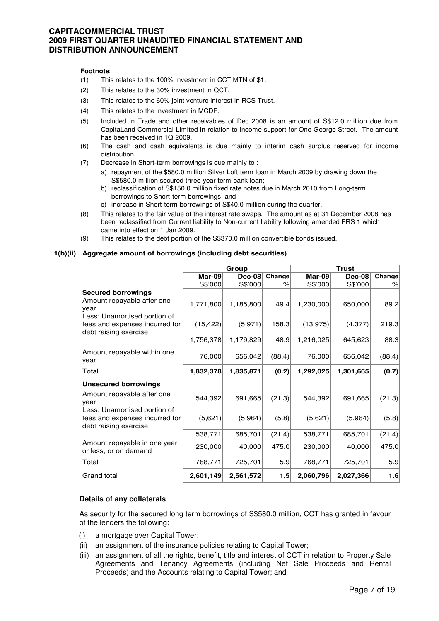#### **Footnotes**

- (1) This relates to the 100% investment in CCT MTN of \$1.
- (2) This relates to the 30% investment in QCT.
- (3) This relates to the 60% joint venture interest in RCS Trust.
- (4) This relates to the investment in MCDF.
- (5) Included in Trade and other receivables of Dec 2008 is an amount of S\$12.0 million due from CapitaLand Commercial Limited in relation to income support for One George Street. The amount has been received in 1Q 2009.
- (6) The cash and cash equivalents is due mainly to interim cash surplus reserved for income distribution.
- (7) Decrease in Short-term borrowings is due mainly to :
	- a) repayment of the \$580.0 million Silver Loft term loan in March 2009 by drawing down the S\$580.0 million secured three-year term bank loan;
	- b) reclassification of S\$150.0 million fixed rate notes due in March 2010 from Long-term borrowings to Short-term borrowings; and
	- c) increase in Short-term borrowings of S\$40.0 million during the quarter.
- (8) This relates to the fair value of the interest rate swaps. The amount as at 31 December 2008 has been reclassified from Current liability to Non-current liability following amended FRS 1 which came into effect on 1 Jan 2009.
- (9) This relates to the debt portion of the S\$370.0 million convertible bonds issued.

#### **1(b)(ii) Aggregate amount of borrowings (including debt securities)**

|                                                                                         |           | Group     |        | <b>Trust</b> |               |        |
|-----------------------------------------------------------------------------------------|-----------|-----------|--------|--------------|---------------|--------|
|                                                                                         | $Mar-09$  | $Dec-08$  | Change | Mar-09       | <b>Dec-08</b> | Change |
|                                                                                         | S\$'000   | S\$'000   | ℅      | S\$'000      | S\$'000       | $\%$   |
| <b>Secured borrowings</b><br>Amount repayable after one<br>vear                         | 1,771,800 | 1,185,800 | 49.4   | 1,230,000    | 650,000       | 89.2   |
| Less: Unamortised portion of<br>fees and expenses incurred for<br>debt raising exercise | (15, 422) | (5,971)   | 158.3  | (13, 975)    | (4, 377)      | 219.3  |
|                                                                                         | 1,756,378 | 1,179,829 | 48.9   | 1,216,025    | 645,623       | 88.3   |
| Amount repayable within one<br>year                                                     | 76,000    | 656,042   | (88.4) | 76,000       | 656,042       | (88.4) |
| Total                                                                                   | 1,832,378 | 1,835,871 | (0.2)  | 1,292,025    | 1,301,665     | (0.7)  |
| <b>Unsecured borrowings</b>                                                             |           |           |        |              |               |        |
| Amount repayable after one<br>year                                                      | 544,392   | 691,665   | (21.3) | 544,392      | 691,665       | (21.3) |
| Less: Unamortised portion of<br>fees and expenses incurred for<br>debt raising exercise | (5,621)   | (5,964)   | (5.8)  | (5,621)      | (5,964)       | (5.8)  |
|                                                                                         | 538,771   | 685,701   | (21.4) | 538,771      | 685,701       | (21.4) |
| Amount repayable in one year<br>or less, or on demand                                   | 230,000   | 40,000    | 475.0  | 230,000      | 40,000        | 475.0  |
| Total                                                                                   | 768,771   | 725,701   | 5.9    | 768,771      | 725,701       | 5.9    |
| Grand total                                                                             | 2,601,149 | 2,561,572 | 1.5    | 2,060,796    | 2,027,366     | 1.6    |

#### **Details of any collaterals**

As security for the secured long term borrowings of S\$580.0 million, CCT has granted in favour of the lenders the following:

- (i) a mortgage over Capital Tower;
- (ii) an assignment of the insurance policies relating to Capital Tower;
- (iii) an assignment of all the rights, benefit, title and interest of CCT in relation to Property Sale Agreements and Tenancy Agreements (including Net Sale Proceeds and Rental Proceeds) and the Accounts relating to Capital Tower; and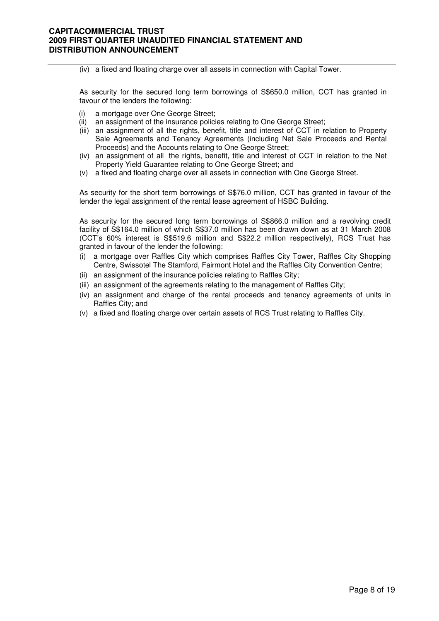#### (iv) a fixed and floating charge over all assets in connection with Capital Tower.

As security for the secured long term borrowings of S\$650.0 million, CCT has granted in favour of the lenders the following:

- a mortgage over One George Street;
- (ii) an assignment of the insurance policies relating to One George Street;
- (iii) an assignment of all the rights, benefit, title and interest of CCT in relation to Property Sale Agreements and Tenancy Agreements (including Net Sale Proceeds and Rental Proceeds) and the Accounts relating to One George Street;
- (iv) an assignment of all the rights, benefit, title and interest of CCT in relation to the Net Property Yield Guarantee relating to One George Street; and
- (v) a fixed and floating charge over all assets in connection with One George Street.

As security for the short term borrowings of S\$76.0 million, CCT has granted in favour of the lender the legal assignment of the rental lease agreement of HSBC Building.

As security for the secured long term borrowings of S\$866.0 million and a revolving credit facility of S\$164.0 million of which S\$37.0 million has been drawn down as at 31 March 2008 (CCT's 60% interest is S\$519.6 million and S\$22.2 million respectively), RCS Trust has granted in favour of the lender the following:

- (i) a mortgage over Raffles City which comprises Raffles City Tower, Raffles City Shopping Centre, Swissotel The Stamford, Fairmont Hotel and the Raffles City Convention Centre;
- (ii) an assignment of the insurance policies relating to Raffles City;
- (iii) an assignment of the agreements relating to the management of Raffles City;
- (iv) an assignment and charge of the rental proceeds and tenancy agreements of units in Raffles City; and
- (v) a fixed and floating charge over certain assets of RCS Trust relating to Raffles City.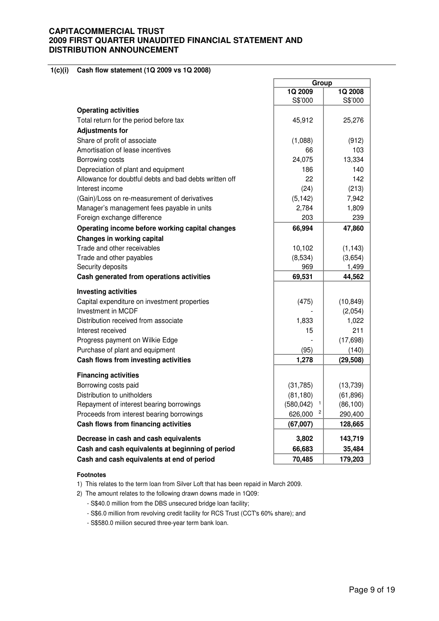#### **1(c)(i) Cash flow statement (1Q 2009 vs 1Q 2008)**

|                                                        | Group           |           |
|--------------------------------------------------------|-----------------|-----------|
|                                                        | 1Q 2009         | 1Q 2008   |
|                                                        | S\$'000         | S\$'000   |
| <b>Operating activities</b>                            |                 |           |
| Total return for the period before tax                 | 45,912          | 25,276    |
| <b>Adjustments for</b>                                 |                 |           |
| Share of profit of associate                           | (1,088)         | (912)     |
| Amortisation of lease incentives                       | 66              | 103       |
| Borrowing costs                                        | 24,075          | 13,334    |
| Depreciation of plant and equipment                    | 186             | 140       |
| Allowance for doubtful debts and bad debts written off | 22              | 142       |
| Interest income                                        | (24)            | (213)     |
| (Gain)/Loss on re-measurement of derivatives           | (5, 142)        | 7,942     |
| Manager's management fees payable in units             | 2,784           | 1,809     |
| Foreign exchange difference                            | 203             | 239       |
| Operating income before working capital changes        | 66,994          | 47,860    |
| <b>Changes in working capital</b>                      |                 |           |
| Trade and other receivables                            | 10,102          | (1, 143)  |
| Trade and other payables                               | (8,534)         | (3,654)   |
| Security deposits                                      | 969             | 1,499     |
| Cash generated from operations activities              | 69,531          | 44,562    |
| <b>Investing activities</b>                            |                 |           |
| Capital expenditure on investment properties           | (475)           | (10, 849) |
| Investment in MCDF                                     |                 | (2,054)   |
| Distribution received from associate                   | 1,833           | 1,022     |
| Interest received                                      | 15              | 211       |
| Progress payment on Wilkie Edge                        |                 | (17, 698) |
| Purchase of plant and equipment                        | (95)            | (140)     |
| Cash flows from investing activities                   | 1,278           | (29, 508) |
| <b>Financing activities</b>                            |                 |           |
| Borrowing costs paid                                   | (31,785)        | (13,739)  |
| Distribution to unitholders                            | (81, 180)       | (61, 896) |
| Repayment of interest bearing borrowings               | 1<br>(580, 042) | (86, 100) |
| Proceeds from interest bearing borrowings              | 2<br>626,000    | 290,400   |
| Cash flows from financing activities                   | (67,007)        | 128,665   |
|                                                        |                 |           |
| Decrease in cash and cash equivalents                  | 3,802           | 143,719   |
| Cash and cash equivalents at beginning of period       | 66,683          | 35,484    |
| Cash and cash equivalents at end of period             | 70,485          | 179,203   |

r.

#### **Footnotes**

1) This relates to the term loan from Silver Loft that has been repaid in March 2009.

2) The amount relates to the following drawn downs made in 1Q09:

- S\$40.0 million from the DBS unsecured bridge loan facility;
- S\$6.0 million from revolving credit facility for RCS Trust (CCT's 60% share); and
- S\$580.0 miilion secured three-year term bank loan.

÷,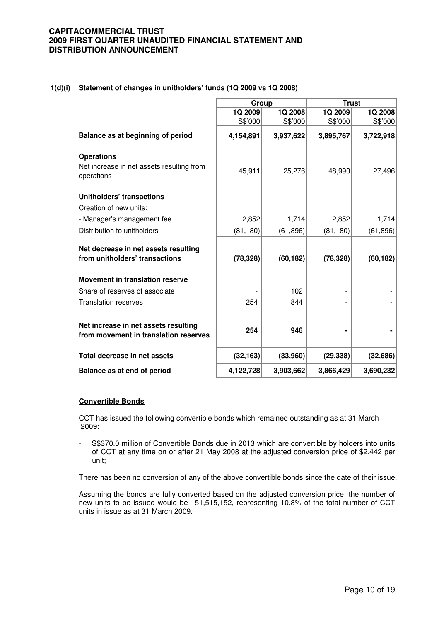#### **1(d)(i) Statement of changes in unitholders' funds (1Q 2009 vs 1Q 2008)**

|                                                                               | Group     |           | <b>Trust</b> |           |
|-------------------------------------------------------------------------------|-----------|-----------|--------------|-----------|
|                                                                               | 1Q 2009   | 1Q 2008   | 1Q 2009      | 1Q 2008   |
|                                                                               | S\$'000   | S\$'000   | S\$'000      | S\$'000   |
| Balance as at beginning of period                                             | 4,154,891 | 3,937,622 | 3,895,767    | 3,722,918 |
| <b>Operations</b>                                                             |           |           |              |           |
| Net increase in net assets resulting from<br>operations                       | 45,911    | 25,276    | 48,990       | 27,496    |
| Unitholders' transactions                                                     |           |           |              |           |
| Creation of new units:                                                        |           |           |              |           |
| - Manager's management fee                                                    | 2,852     | 1,714     | 2,852        | 1,714     |
| Distribution to unitholders                                                   | (81, 180) | (61, 896) | (81, 180)    | (61, 896) |
| Net decrease in net assets resulting<br>from unitholders' transactions        | (78, 328) | (60, 182) | (78, 328)    | (60, 182) |
| <b>Movement in translation reserve</b>                                        |           |           |              |           |
| Share of reserves of associate                                                |           | 102       |              |           |
| <b>Translation reserves</b>                                                   | 254       | 844       |              |           |
|                                                                               |           |           |              |           |
| Net increase in net assets resulting<br>from movement in translation reserves | 254       | 946       |              |           |
| Total decrease in net assets                                                  | (32, 163) | (33,960)  | (29, 338)    | (32,686)  |
| Balance as at end of period                                                   | 4,122,728 | 3,903,662 | 3,866,429    | 3,690,232 |

#### **Convertible Bonds**

CCT has issued the following convertible bonds which remained outstanding as at 31 March 2009:

- S\$370.0 million of Convertible Bonds due in 2013 which are convertible by holders into units of CCT at any time on or after 21 May 2008 at the adjusted conversion price of \$2.442 per unit;

There has been no conversion of any of the above convertible bonds since the date of their issue.

Assuming the bonds are fully converted based on the adjusted conversion price, the number of new units to be issued would be 151,515,152, representing 10.8% of the total number of CCT units in issue as at 31 March 2009.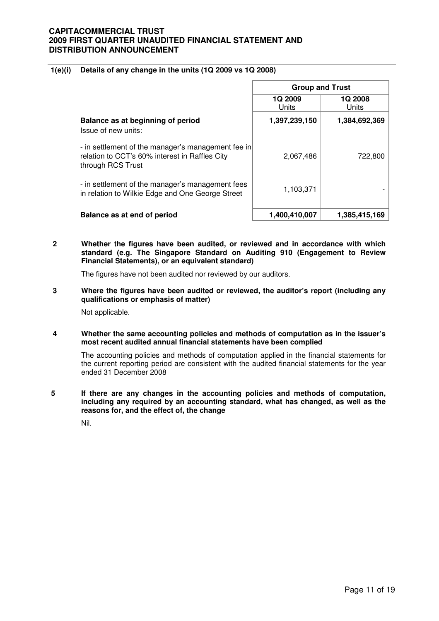#### **1(e)(i) Details of any change in the units (1Q 2009 vs 1Q 2008)**

|                                                                                                                           | <b>Group and Trust</b> |                         |  |
|---------------------------------------------------------------------------------------------------------------------------|------------------------|-------------------------|--|
|                                                                                                                           | 1Q 2009<br>Units       | <b>1Q 2008</b><br>Units |  |
| Balance as at beginning of period<br>Issue of new units:                                                                  | 1,397,239,150          | 1,384,692,369           |  |
| - in settlement of the manager's management fee in<br>relation to CCT's 60% interest in Raffles City<br>through RCS Trust | 2,067,486              | 722,800                 |  |
| - in settlement of the manager's management fees<br>in relation to Wilkie Edge and One George Street                      | 1,103,371              |                         |  |
| Balance as at end of period                                                                                               | 1,400,410,007          | 1,385,415,169           |  |

**2 Whether the figures have been audited, or reviewed and in accordance with which standard (e.g. The Singapore Standard on Auditing 910 (Engagement to Review Financial Statements), or an equivalent standard)** 

The figures have not been audited nor reviewed by our auditors.

**3 Where the figures have been audited or reviewed, the auditor's report (including any qualifications or emphasis of matter)** 

Not applicable.

**4 Whether the same accounting policies and methods of computation as in the issuer's most recent audited annual financial statements have been complied** 

The accounting policies and methods of computation applied in the financial statements for the current reporting period are consistent with the audited financial statements for the year ended 31 December 2008

**5 If there are any changes in the accounting policies and methods of computation, including any required by an accounting standard, what has changed, as well as the reasons for, and the effect of, the change** 

Nil.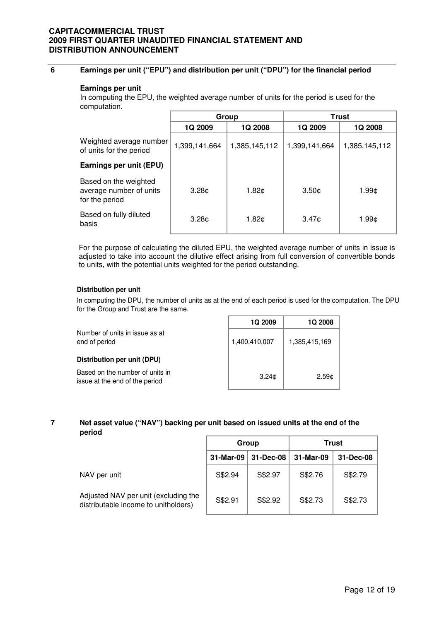## **6 Earnings per unit ("EPU") and distribution per unit ("DPU") for the financial period**

#### **Earnings per unit**

In computing the EPU, the weighted average number of units for the period is used for the computation.

|                                                                    | Group             |                   |                   | Trust         |  |
|--------------------------------------------------------------------|-------------------|-------------------|-------------------|---------------|--|
|                                                                    | 1Q 2009           | 1Q 2008           | 1Q 2009           | 1Q 2008       |  |
| Weighted average number<br>of units for the period                 | 1,399,141,664     | 1,385,145,112     | 1,399,141,664     | 1,385,145,112 |  |
| Earnings per unit (EPU)                                            |                   |                   |                   |               |  |
| Based on the weighted<br>average number of units<br>for the period | 3.28 <sub>¢</sub> | 1.82 <sub>¢</sub> | 3.50 <sub>¢</sub> | 1.99¢         |  |
| Based on fully diluted<br>basis                                    | 3.28 <sub>¢</sub> | 1.82¢             | 3.47c             | 1.99¢         |  |

For the purpose of calculating the diluted EPU, the weighted average number of units in issue is adjusted to take into account the dilutive effect arising from full conversion of convertible bonds to units, with the potential units weighted for the period outstanding.

#### **Distribution per unit**

In computing the DPU, the number of units as at the end of each period is used for the computation. The DPU for the Group and Trust are the same.

|                                                                   | 1Q 2009       | 1Q 2008       |
|-------------------------------------------------------------------|---------------|---------------|
| Number of units in issue as at<br>end of period                   | 1,400,410,007 | 1,385,415,169 |
| Distribution per unit (DPU)                                       |               |               |
| Based on the number of units in<br>issue at the end of the period | 3.24c         | 2.59c         |

#### **7 Net asset value ("NAV") backing per unit based on issued units at the end of the period**

|                                                                              | Group     |           | Trust     |           |
|------------------------------------------------------------------------------|-----------|-----------|-----------|-----------|
|                                                                              | 31-Mar-09 | 31-Dec-08 | 31-Mar-09 | 31-Dec-08 |
| NAV per unit                                                                 | S\$2.94   | S\$2.97   | S\$2.76   | S\$2.79   |
| Adjusted NAV per unit (excluding the<br>distributable income to unitholders) | S\$2.91   | S\$2.92   | S\$2.73   | S\$2.73   |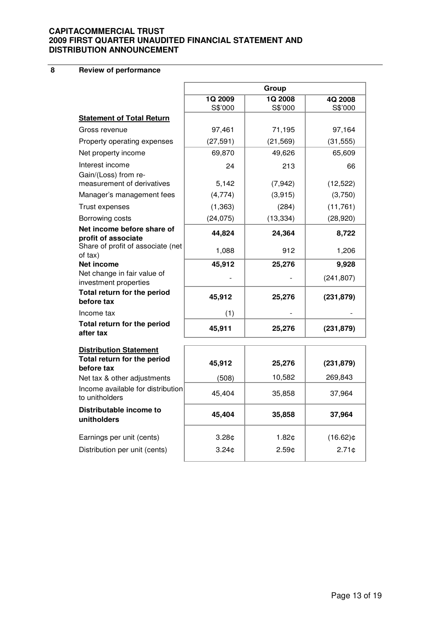**8 Review of performance**

|                                                                     | Group             |               |             |  |
|---------------------------------------------------------------------|-------------------|---------------|-------------|--|
|                                                                     | 1Q 2009           | <b>1Q2008</b> | 4Q 2008     |  |
| <b>Statement of Total Return</b>                                    | S\$'000           | S\$'000       | S\$'000     |  |
| Gross revenue                                                       | 97,461            | 71,195        | 97,164      |  |
|                                                                     |                   |               |             |  |
| Property operating expenses                                         | (27, 591)         | (21, 569)     | (31, 555)   |  |
| Net property income                                                 | 69,870            | 49,626        | 65,609      |  |
| Interest income                                                     | 24                | 213           | 66          |  |
| Gain/(Loss) from re-<br>measurement of derivatives                  | 5,142             | (7, 942)      | (12, 522)   |  |
| Manager's management fees                                           | (4,774)           | (3,915)       | (3,750)     |  |
| Trust expenses                                                      | (1, 363)          | (284)         | (11,761)    |  |
| Borrowing costs                                                     | (24, 075)         | (13, 334)     | (28, 920)   |  |
| Net income before share of                                          | 44,824            | 24,364        | 8,722       |  |
| profit of associate<br>Share of profit of associate (net<br>of tax) | 1,088             | 912           | 1,206       |  |
| <b>Net income</b>                                                   | 45,912            | 25,276        | 9,928       |  |
| Net change in fair value of<br>investment properties                |                   |               | (241, 807)  |  |
| Total return for the period<br>before tax                           | 45,912            | 25,276        | (231, 879)  |  |
| Income tax                                                          | (1)               |               |             |  |
| Total return for the period<br>after tax                            | 45,911            | 25,276        | (231, 879)  |  |
| <b>Distribution Statement</b>                                       |                   |               |             |  |
| Total return for the period<br>before tax                           | 45,912            | 25,276        | (231, 879)  |  |
| Net tax & other adjustments                                         | (508)             | 10,582        | 269,843     |  |
| Income available for distribution<br>to unitholders                 | 45,404            | 35,858        | 37,964      |  |
| Distributable income to<br>unitholders                              | 45,404            | 35,858        | 37,964      |  |
| Earnings per unit (cents)                                           | 3.28 <sub>¢</sub> | 1.82c         | $(16.62)$ ¢ |  |
| Distribution per unit (cents)                                       | 3.24¢             | 2.59c         | 2.71¢       |  |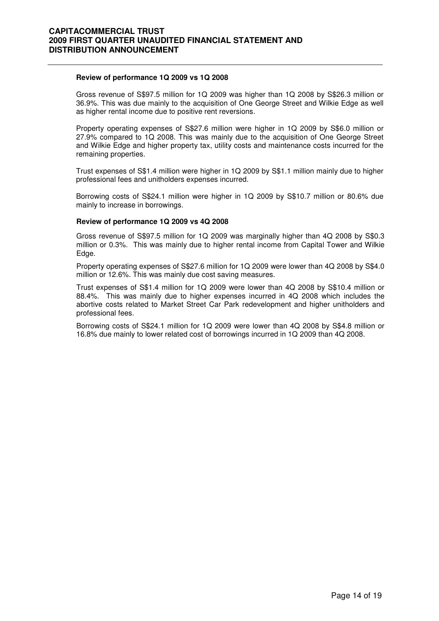#### **Review of performance 1Q 2009 vs 1Q 2008**

 Gross revenue of S\$97.5 million for 1Q 2009 was higher than 1Q 2008 by S\$26.3 million or 36.9%. This was due mainly to the acquisition of One George Street and Wilkie Edge as well as higher rental income due to positive rent reversions.

Property operating expenses of S\$27.6 million were higher in 1Q 2009 by S\$6.0 million or 27.9% compared to 1Q 2008. This was mainly due to the acquisition of One George Street and Wilkie Edge and higher property tax, utility costs and maintenance costs incurred for the remaining properties.

Trust expenses of S\$1.4 million were higher in 1Q 2009 by S\$1.1 million mainly due to higher professional fees and unitholders expenses incurred.

Borrowing costs of S\$24.1 million were higher in 1Q 2009 by S\$10.7 million or 80.6% due mainly to increase in borrowings.

#### **Review of performance 1Q 2009 vs 4Q 2008**

 Gross revenue of S\$97.5 million for 1Q 2009 was marginally higher than 4Q 2008 by S\$0.3 million or 0.3%. This was mainly due to higher rental income from Capital Tower and Wilkie Edge.

Property operating expenses of S\$27.6 million for 1Q 2009 were lower than 4Q 2008 by S\$4.0 million or 12.6%. This was mainly due cost saving measures.

Trust expenses of S\$1.4 million for 1Q 2009 were lower than 4Q 2008 by S\$10.4 million or 88.4%. This was mainly due to higher expenses incurred in 4Q 2008 which includes the abortive costs related to Market Street Car Park redevelopment and higher unitholders and professional fees.

Borrowing costs of S\$24.1 million for 1Q 2009 were lower than 4Q 2008 by S\$4.8 million or 16.8% due mainly to lower related cost of borrowings incurred in 1Q 2009 than 4Q 2008.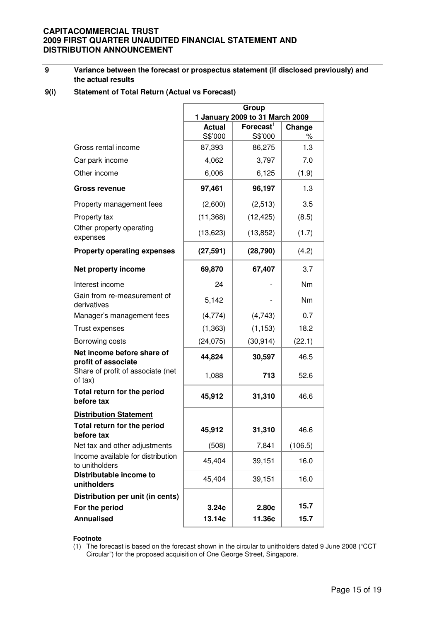#### **9 Variance between the forecast or prospectus statement (if disclosed previously) and the actual results**

#### **9(i) Statement of Total Return (Actual vs Forecast)**

|                                                     | Group<br>1 January 2009 to 31 March 2009 |                       |         |  |
|-----------------------------------------------------|------------------------------------------|-----------------------|---------|--|
|                                                     | <b>Actual</b>                            | $\mathsf{Forecast}^1$ | Change  |  |
|                                                     | S\$'000                                  | S\$'000               | %       |  |
| Gross rental income                                 | 87,393                                   | 86,275                | 1.3     |  |
| Car park income                                     | 4,062                                    | 3,797                 | 7.0     |  |
| Other income                                        | 6,006                                    | 6,125                 | (1.9)   |  |
| <b>Gross revenue</b>                                | 97,461                                   | 96,197                | 1.3     |  |
| Property management fees                            | (2,600)                                  | (2, 513)              | 3.5     |  |
| Property tax                                        | (11, 368)                                | (12, 425)             | (8.5)   |  |
| Other property operating<br>expenses                | (13, 623)                                | (13, 852)             | (1.7)   |  |
| <b>Property operating expenses</b>                  | (27, 591)                                | (28, 790)             | (4.2)   |  |
| Net property income                                 | 69,870                                   | 67,407                | 3.7     |  |
| Interest income                                     | 24                                       |                       | Nm      |  |
| Gain from re-measurement of<br>derivatives          | 5,142                                    |                       | Nm      |  |
| Manager's management fees                           | (4,774)                                  | (4, 743)              | 0.7     |  |
| Trust expenses                                      | (1, 363)                                 | (1, 153)              | 18.2    |  |
| Borrowing costs                                     | (24, 075)                                | (30, 914)             | (22.1)  |  |
| Net income before share of<br>profit of associate   | 44,824                                   | 30,597                | 46.5    |  |
| Share of profit of associate (net<br>of tax)        | 1,088                                    | 713                   | 52.6    |  |
| Total return for the period<br>before tax           | 45,912                                   | 31,310                | 46.6    |  |
| <b>Distribution Statement</b>                       |                                          |                       |         |  |
| Total return for the period<br>before tax           | 45,912                                   | 31,310                | 46.6    |  |
| Net tax and other adjustments                       | (508)                                    | 7,841                 | (106.5) |  |
| Income available for distribution<br>to unitholders | 45,404                                   | 39,151                | 16.0    |  |
| Distributable income to<br>unitholders              | 45,404                                   | 39,151                | 16.0    |  |
| Distribution per unit (in cents)                    |                                          |                       |         |  |
| For the period                                      | 3.24c                                    | 2.80c                 | 15.7    |  |
| <b>Annualised</b>                                   | 13.14¢                                   | 11.36¢                | 15.7    |  |

#### **Footnote**

(1) The forecast is based on the forecast shown in the circular to unitholders dated 9 June 2008 ("CCT Circular") for the proposed acquisition of One George Street, Singapore.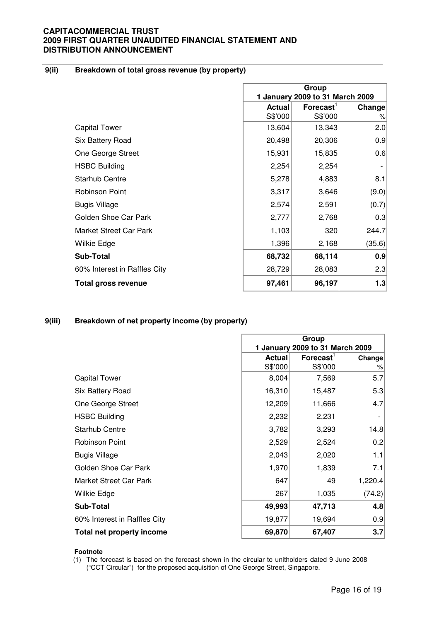## **9(ii) Breakdown of total gross revenue (by property)**

|                              | Group                           |                                  |        |
|------------------------------|---------------------------------|----------------------------------|--------|
|                              | 1 January 2009 to 31 March 2009 |                                  |        |
|                              | <b>Actual</b>                   | $\mathsf{Forecast}^{\mathsf{T}}$ | Change |
|                              | S\$'000                         | S\$'000                          | %      |
| <b>Capital Tower</b>         | 13,604                          | 13,343                           | 2.0    |
| Six Battery Road             | 20,498                          | 20,306                           | 0.9    |
| One George Street            | 15,931                          | 15,835                           | 0.6    |
| <b>HSBC Building</b>         | 2,254                           | 2,254                            |        |
| <b>Starhub Centre</b>        | 5,278                           | 4,883                            | 8.1    |
| <b>Robinson Point</b>        | 3,317                           | 3,646                            | (9.0)  |
| <b>Bugis Village</b>         | 2,574                           | 2,591                            | (0.7)  |
| Golden Shoe Car Park         | 2,777                           | 2,768                            | 0.3    |
| Market Street Car Park       | 1,103                           | 320                              | 244.7  |
| Wilkie Edge                  | 1,396                           | 2,168                            | (35.6) |
| <b>Sub-Total</b>             | 68,732                          | 68,114                           | 0.9    |
| 60% Interest in Raffles City | 28,729                          | 28,083                           | 2.3    |
| <b>Total gross revenue</b>   | 97,461                          | 96,197                           | 1.3    |

#### **9(iii) Breakdown of net property income (by property)**

|                              | Group                           |                             |         |
|------------------------------|---------------------------------|-----------------------------|---------|
|                              | 1 January 2009 to 31 March 2009 |                             |         |
|                              | <b>Actual</b>                   | $F$ orecast $^{\mathsf{t}}$ | Change  |
|                              | S\$'000                         | S\$'000                     | %       |
| <b>Capital Tower</b>         | 8,004                           | 7,569                       | 5.7     |
| Six Battery Road             | 16,310                          | 15,487                      | 5.3     |
| One George Street            | 12,209                          | 11,666                      | 4.7     |
| <b>HSBC Building</b>         | 2,232                           | 2,231                       |         |
| <b>Starhub Centre</b>        | 3,782                           | 3,293                       | 14.8    |
| <b>Robinson Point</b>        | 2,529                           | 2,524                       | 0.2     |
| <b>Bugis Village</b>         | 2,043                           | 2,020                       | 1.1     |
| Golden Shoe Car Park         | 1,970                           | 1,839                       | 7.1     |
| Market Street Car Park       | 647                             | 49                          | 1,220.4 |
| Wilkie Edge                  | 267                             | 1,035                       | (74.2)  |
| <b>Sub-Total</b>             | 49,993                          | 47,713                      | 4.8     |
| 60% Interest in Raffles City | 19,877                          | 19,694                      | 0.9     |
| Total net property income    | 69,870                          | 67,407                      | 3.7     |

#### **Footnote**

(1) The forecast is based on the forecast shown in the circular to unitholders dated 9 June 2008 ("CCT Circular") for the proposed acquisition of One George Street, Singapore.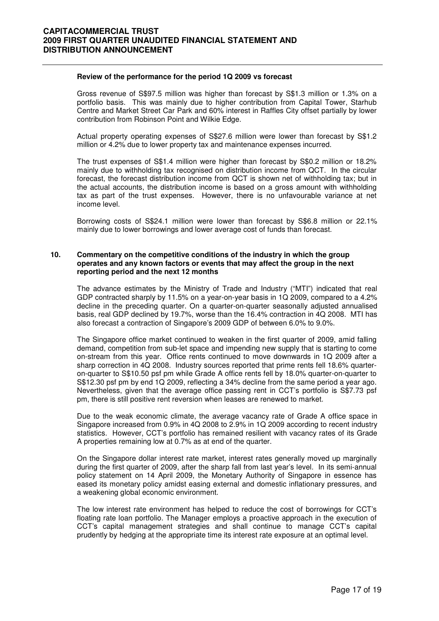#### **Review of the performance for the period 1Q 2009 vs forecast**

Gross revenue of S\$97.5 million was higher than forecast by S\$1.3 million or 1.3% on a portfolio basis. This was mainly due to higher contribution from Capital Tower, Starhub Centre and Market Street Car Park and 60% interest in Raffles City offset partially by lower contribution from Robinson Point and Wilkie Edge.

Actual property operating expenses of S\$27.6 million were lower than forecast by S\$1.2 million or 4.2% due to lower property tax and maintenance expenses incurred.

The trust expenses of S\$1.4 million were higher than forecast by S\$0.2 million or 18.2% mainly due to withholding tax recognised on distribution income from QCT. In the circular forecast, the forecast distribution income from QCT is shown net of withholding tax; but in the actual accounts, the distribution income is based on a gross amount with withholding tax as part of the trust expenses. However, there is no unfavourable variance at net income level.

Borrowing costs of S\$24.1 million were lower than forecast by S\$6.8 million or 22.1% mainly due to lower borrowings and lower average cost of funds than forecast.

#### **10. Commentary on the competitive conditions of the industry in which the group operates and any known factors or events that may affect the group in the next reporting period and the next 12 months**

The advance estimates by the Ministry of Trade and Industry ("MTI") indicated that real GDP contracted sharply by 11.5% on a year-on-year basis in 1Q 2009, compared to a 4.2% decline in the preceding quarter. On a quarter-on-quarter seasonally adjusted annualised basis, real GDP declined by 19.7%, worse than the 16.4% contraction in 4Q 2008. MTI has also forecast a contraction of Singapore's 2009 GDP of between 6.0% to 9.0%.

The Singapore office market continued to weaken in the first quarter of 2009, amid falling demand, competition from sub-let space and impending new supply that is starting to come on-stream from this year. Office rents continued to move downwards in 1Q 2009 after a sharp correction in 4Q 2008. Industry sources reported that prime rents fell 18.6% quarteron-quarter to S\$10.50 psf pm while Grade A office rents fell by 18.0% quarter-on-quarter to S\$12.30 psf pm by end 1Q 2009, reflecting a 34% decline from the same period a year ago. Nevertheless, given that the average office passing rent in CCT's portfolio is S\$7.73 psf pm, there is still positive rent reversion when leases are renewed to market.

Due to the weak economic climate, the average vacancy rate of Grade A office space in Singapore increased from 0.9% in 4Q 2008 to 2.9% in 1Q 2009 according to recent industry statistics. However, CCT's portfolio has remained resilient with vacancy rates of its Grade A properties remaining low at 0.7% as at end of the quarter.

On the Singapore dollar interest rate market, interest rates generally moved up marginally during the first quarter of 2009, after the sharp fall from last year's level. In its semi-annual policy statement on 14 April 2009, the Monetary Authority of Singapore in essence has eased its monetary policy amidst easing external and domestic inflationary pressures, and a weakening global economic environment.

The low interest rate environment has helped to reduce the cost of borrowings for CCT's floating rate loan portfolio. The Manager employs a proactive approach in the execution of CCT's capital management strategies and shall continue to manage CCT's capital prudently by hedging at the appropriate time its interest rate exposure at an optimal level.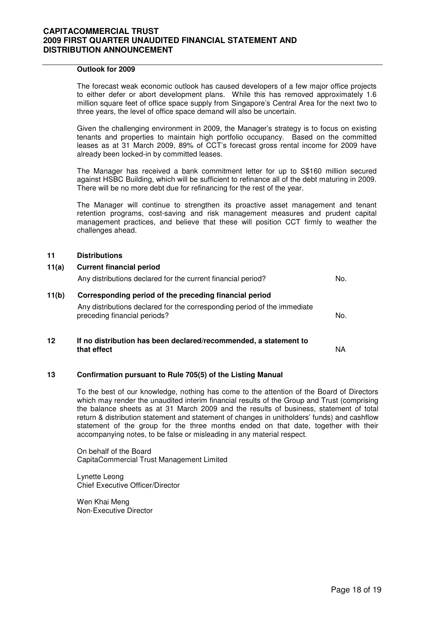#### **Outlook for 2009**

The forecast weak economic outlook has caused developers of a few major office projects to either defer or abort development plans. While this has removed approximately 1.6 million square feet of office space supply from Singapore's Central Area for the next two to three years, the level of office space demand will also be uncertain.

Given the challenging environment in 2009, the Manager's strategy is to focus on existing tenants and properties to maintain high portfolio occupancy. Based on the committed leases as at 31 March 2009, 89% of CCT's forecast gross rental income for 2009 have already been locked-in by committed leases.

The Manager has received a bank commitment letter for up to S\$160 million secured against HSBC Building, which will be sufficient to refinance all of the debt maturing in 2009. There will be no more debt due for refinancing for the rest of the year.

The Manager will continue to strengthen its proactive asset management and tenant retention programs, cost-saving and risk management measures and prudent capital management practices, and believe that these will position CCT firmly to weather the challenges ahead.

#### **11 Distributions**

| 11(a) | <b>Current financial period</b><br>Any distributions declared for the current financial period?          | No. |
|-------|----------------------------------------------------------------------------------------------------------|-----|
| 11(b) | Corresponding period of the preceding financial period                                                   |     |
|       | Any distributions declared for the corresponding period of the immediate<br>preceding financial periods? | No. |
| 12    | If no distribution has been declared/recommended, a statement to<br>that effect                          | NA. |

#### **13 Confirmation pursuant to Rule 705(5) of the Listing Manual**

To the best of our knowledge, nothing has come to the attention of the Board of Directors which may render the unaudited interim financial results of the Group and Trust (comprising the balance sheets as at 31 March 2009 and the results of business, statement of total return & distribution statement and statement of changes in unitholders' funds) and cashflow statement of the group for the three months ended on that date, together with their accompanying notes, to be false or misleading in any material respect.

On behalf of the Board CapitaCommercial Trust Management Limited

Lynette Leong Chief Executive Officer/Director

Wen Khai Meng Non-Executive Director